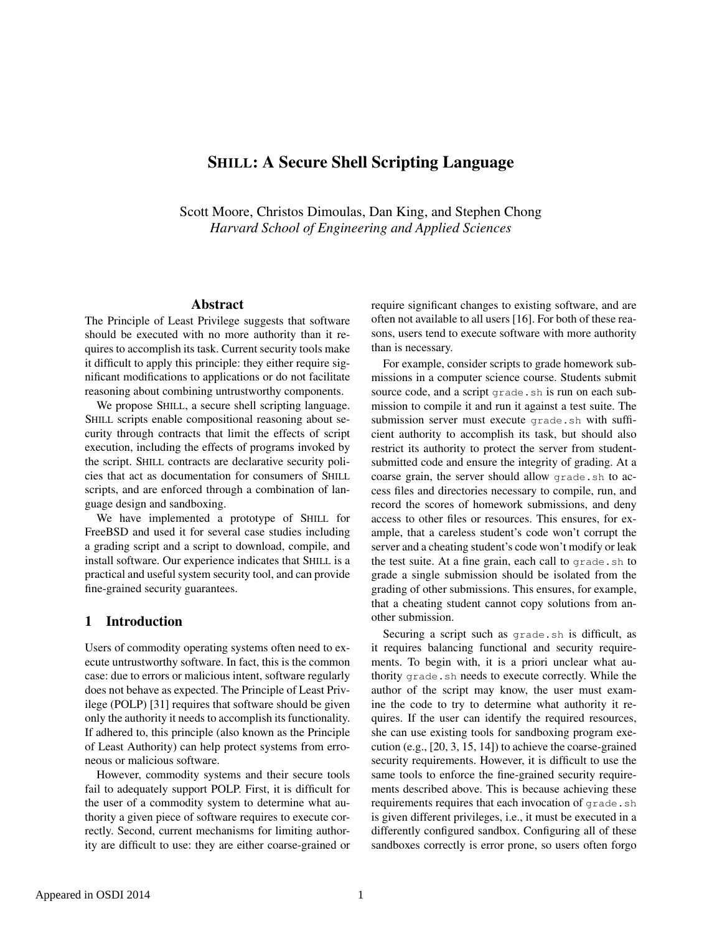# SHILL: A Secure Shell Scripting Language

Scott Moore, Christos Dimoulas, Dan King, and Stephen Chong *Harvard School of Engineering and Applied Sciences*

# Abstract

The Principle of Least Privilege suggests that software should be executed with no more authority than it requires to accomplish its task. Current security tools make it difficult to apply this principle: they either require significant modifications to applications or do not facilitate reasoning about combining untrustworthy components.

We propose SHILL, a secure shell scripting language. SHILL scripts enable compositional reasoning about security through contracts that limit the effects of script execution, including the effects of programs invoked by the script. SHILL contracts are declarative security policies that act as documentation for consumers of SHILL scripts, and are enforced through a combination of language design and sandboxing.

We have implemented a prototype of SHILL for FreeBSD and used it for several case studies including a grading script and a script to download, compile, and install software. Our experience indicates that SHILL is a practical and useful system security tool, and can provide fine-grained security guarantees.

# 1 Introduction

Users of commodity operating systems often need to execute untrustworthy software. In fact, this is the common case: due to errors or malicious intent, software regularly does not behave as expected. The Principle of Least Privilege (POLP) [31] requires that software should be given only the authority it needs to accomplish its functionality. If adhered to, this principle (also known as the Principle of Least Authority) can help protect systems from erroneous or malicious software.

However, commodity systems and their secure tools fail to adequately support POLP. First, it is difficult for the user of a commodity system to determine what authority a given piece of software requires to execute correctly. Second, current mechanisms for limiting authority are difficult to use: they are either coarse-grained or require significant changes to existing software, and are often not available to all users [16]. For both of these reasons, users tend to execute software with more authority than is necessary.

For example, consider scripts to grade homework submissions in a computer science course. Students submit source code, and a script grade. sh is run on each submission to compile it and run it against a test suite. The submission server must execute grade.sh with sufficient authority to accomplish its task, but should also restrict its authority to protect the server from studentsubmitted code and ensure the integrity of grading. At a coarse grain, the server should allow grade.sh to access files and directories necessary to compile, run, and record the scores of homework submissions, and deny access to other files or resources. This ensures, for example, that a careless student's code won't corrupt the server and a cheating student's code won't modify or leak the test suite. At a fine grain, each call to grade.sh to grade a single submission should be isolated from the grading of other submissions. This ensures, for example, that a cheating student cannot copy solutions from another submission.

Securing a script such as grade.sh is difficult, as it requires balancing functional and security requirements. To begin with, it is a priori unclear what authority grade.sh needs to execute correctly. While the author of the script may know, the user must examine the code to try to determine what authority it requires. If the user can identify the required resources, she can use existing tools for sandboxing program execution (e.g., [20, 3, 15, 14]) to achieve the coarse-grained security requirements. However, it is difficult to use the same tools to enforce the fine-grained security requirements described above. This is because achieving these requirements requires that each invocation of grade.sh is given different privileges, i.e., it must be executed in a differently configured sandbox. Configuring all of these sandboxes correctly is error prone, so users often forgo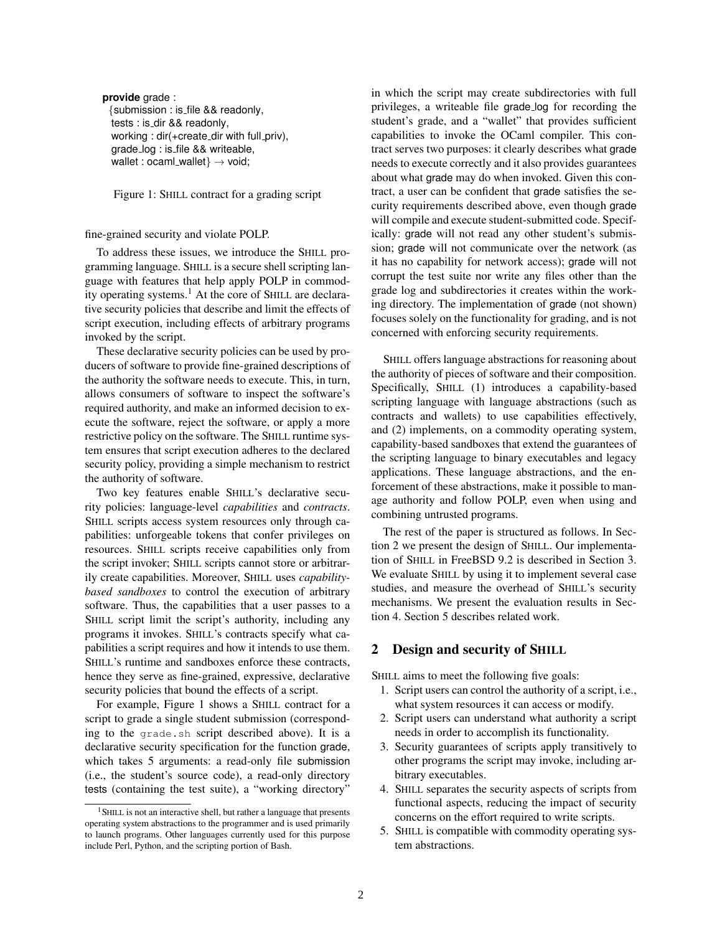```
provide grade :
 {submission : is file && readonly,
  tests : is dir && readonly,
  working : dir(+create_dir with full_priv),
  grade log : is file && writeable,
  wallet : ocaml_wallet\} \rightarrow void;
```
Figure 1: SHILL contract for a grading script

#### fine-grained security and violate POLP.

To address these issues, we introduce the SHILL programming language. SHILL is a secure shell scripting language with features that help apply POLP in commodity operating systems.<sup>1</sup> At the core of SHILL are declarative security policies that describe and limit the effects of script execution, including effects of arbitrary programs invoked by the script.

These declarative security policies can be used by producers of software to provide fine-grained descriptions of the authority the software needs to execute. This, in turn, allows consumers of software to inspect the software's required authority, and make an informed decision to execute the software, reject the software, or apply a more restrictive policy on the software. The SHILL runtime system ensures that script execution adheres to the declared security policy, providing a simple mechanism to restrict the authority of software.

Two key features enable SHILL's declarative security policies: language-level *capabilities* and *contracts*. SHILL scripts access system resources only through capabilities: unforgeable tokens that confer privileges on resources. SHILL scripts receive capabilities only from the script invoker; SHILL scripts cannot store or arbitrarily create capabilities. Moreover, SHILL uses *capabilitybased sandboxes* to control the execution of arbitrary software. Thus, the capabilities that a user passes to a SHILL script limit the script's authority, including any programs it invokes. SHILL's contracts specify what capabilities a script requires and how it intends to use them. SHILL's runtime and sandboxes enforce these contracts, hence they serve as fine-grained, expressive, declarative security policies that bound the effects of a script.

For example, Figure 1 shows a SHILL contract for a script to grade a single student submission (corresponding to the grade.sh script described above). It is a declarative security specification for the function grade, which takes 5 arguments: a read-only file submission (i.e., the student's source code), a read-only directory tests (containing the test suite), a "working directory"

in which the script may create subdirectories with full privileges, a writeable file grade log for recording the student's grade, and a "wallet" that provides sufficient capabilities to invoke the OCaml compiler. This contract serves two purposes: it clearly describes what grade needs to execute correctly and it also provides guarantees about what grade may do when invoked. Given this contract, a user can be confident that grade satisfies the security requirements described above, even though grade will compile and execute student-submitted code. Specifically: grade will not read any other student's submission; grade will not communicate over the network (as it has no capability for network access); grade will not corrupt the test suite nor write any files other than the grade log and subdirectories it creates within the working directory. The implementation of grade (not shown) focuses solely on the functionality for grading, and is not concerned with enforcing security requirements.

SHILL offers language abstractions for reasoning about the authority of pieces of software and their composition. Specifically, SHILL (1) introduces a capability-based scripting language with language abstractions (such as contracts and wallets) to use capabilities effectively, and (2) implements, on a commodity operating system, capability-based sandboxes that extend the guarantees of the scripting language to binary executables and legacy applications. These language abstractions, and the enforcement of these abstractions, make it possible to manage authority and follow POLP, even when using and combining untrusted programs.

The rest of the paper is structured as follows. In Section 2 we present the design of SHILL. Our implementation of SHILL in FreeBSD 9.2 is described in Section 3. We evaluate SHILL by using it to implement several case studies, and measure the overhead of SHILL's security mechanisms. We present the evaluation results in Section 4. Section 5 describes related work.

### 2 Design and security of SHILL

SHILL aims to meet the following five goals:

- 1. Script users can control the authority of a script, i.e., what system resources it can access or modify.
- 2. Script users can understand what authority a script needs in order to accomplish its functionality.
- 3. Security guarantees of scripts apply transitively to other programs the script may invoke, including arbitrary executables.
- 4. SHILL separates the security aspects of scripts from functional aspects, reducing the impact of security concerns on the effort required to write scripts.
- 5. SHILL is compatible with commodity operating system abstractions.

<sup>&</sup>lt;sup>1</sup> SHILL is not an interactive shell, but rather a language that presents operating system abstractions to the programmer and is used primarily to launch programs. Other languages currently used for this purpose include Perl, Python, and the scripting portion of Bash.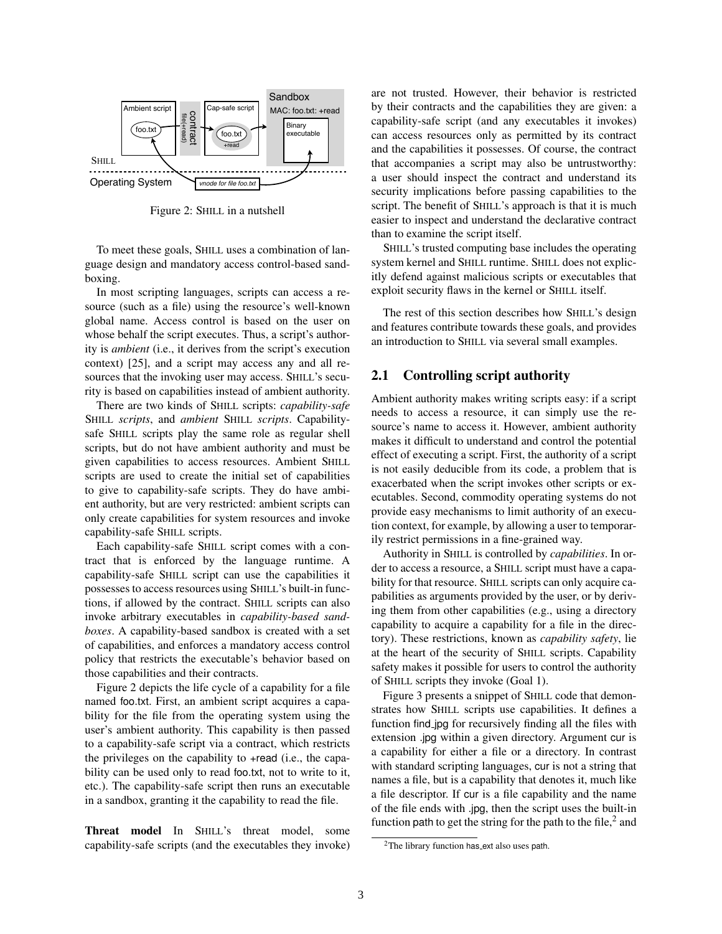

Figure 2: SHILL in a nutshell

To meet these goals, SHILL uses a combination of language design and mandatory access control-based sandboxing.

In most scripting languages, scripts can access a resource (such as a file) using the resource's well-known global name. Access control is based on the user on whose behalf the script executes. Thus, a script's authority is *ambient* (i.e., it derives from the script's execution context) [25], and a script may access any and all resources that the invoking user may access. SHILL's security is based on capabilities instead of ambient authority.

There are two kinds of SHILL scripts: *capability-safe* SHILL *scripts*, and *ambient* SHILL *scripts*. Capabilitysafe SHILL scripts play the same role as regular shell scripts, but do not have ambient authority and must be given capabilities to access resources. Ambient SHILL scripts are used to create the initial set of capabilities to give to capability-safe scripts. They do have ambient authority, but are very restricted: ambient scripts can only create capabilities for system resources and invoke capability-safe SHILL scripts.

Each capability-safe SHILL script comes with a contract that is enforced by the language runtime. A capability-safe SHILL script can use the capabilities it possesses to access resources using SHILL's built-in functions, if allowed by the contract. SHILL scripts can also invoke arbitrary executables in *capability-based sandboxes*. A capability-based sandbox is created with a set of capabilities, and enforces a mandatory access control policy that restricts the executable's behavior based on those capabilities and their contracts.

Figure 2 depicts the life cycle of a capability for a file named foo.txt. First, an ambient script acquires a capability for the file from the operating system using the user's ambient authority. This capability is then passed to a capability-safe script via a contract, which restricts the privileges on the capability to +read (i.e., the capability can be used only to read foo.txt, not to write to it, etc.). The capability-safe script then runs an executable in a sandbox, granting it the capability to read the file.

Threat model In SHILL's threat model, some capability-safe scripts (and the executables they invoke) are not trusted. However, their behavior is restricted by their contracts and the capabilities they are given: a capability-safe script (and any executables it invokes) can access resources only as permitted by its contract and the capabilities it possesses. Of course, the contract that accompanies a script may also be untrustworthy: a user should inspect the contract and understand its security implications before passing capabilities to the script. The benefit of SHILL's approach is that it is much easier to inspect and understand the declarative contract than to examine the script itself.

SHILL's trusted computing base includes the operating system kernel and SHILL runtime. SHILL does not explicitly defend against malicious scripts or executables that exploit security flaws in the kernel or SHILL itself.

The rest of this section describes how SHILL's design and features contribute towards these goals, and provides an introduction to SHILL via several small examples.

# 2.1 Controlling script authority

Ambient authority makes writing scripts easy: if a script needs to access a resource, it can simply use the resource's name to access it. However, ambient authority makes it difficult to understand and control the potential effect of executing a script. First, the authority of a script is not easily deducible from its code, a problem that is exacerbated when the script invokes other scripts or executables. Second, commodity operating systems do not provide easy mechanisms to limit authority of an execution context, for example, by allowing a user to temporarily restrict permissions in a fine-grained way.

Authority in SHILL is controlled by *capabilities*. In order to access a resource, a SHILL script must have a capability for that resource. SHILL scripts can only acquire capabilities as arguments provided by the user, or by deriving them from other capabilities (e.g., using a directory capability to acquire a capability for a file in the directory). These restrictions, known as *capability safety*, lie at the heart of the security of SHILL scripts. Capability safety makes it possible for users to control the authority of SHILL scripts they invoke (Goal 1).

Figure 3 presents a snippet of SHILL code that demonstrates how SHILL scripts use capabilities. It defines a function find jpg for recursively finding all the files with extension .jpg within a given directory. Argument cur is a capability for either a file or a directory. In contrast with standard scripting languages, cur is not a string that names a file, but is a capability that denotes it, much like a file descriptor. If cur is a file capability and the name of the file ends with .jpg, then the script uses the built-in function path to get the string for the path to the file, $<sup>2</sup>$  and</sup>

<sup>&</sup>lt;sup>2</sup>The library function has ext also uses path.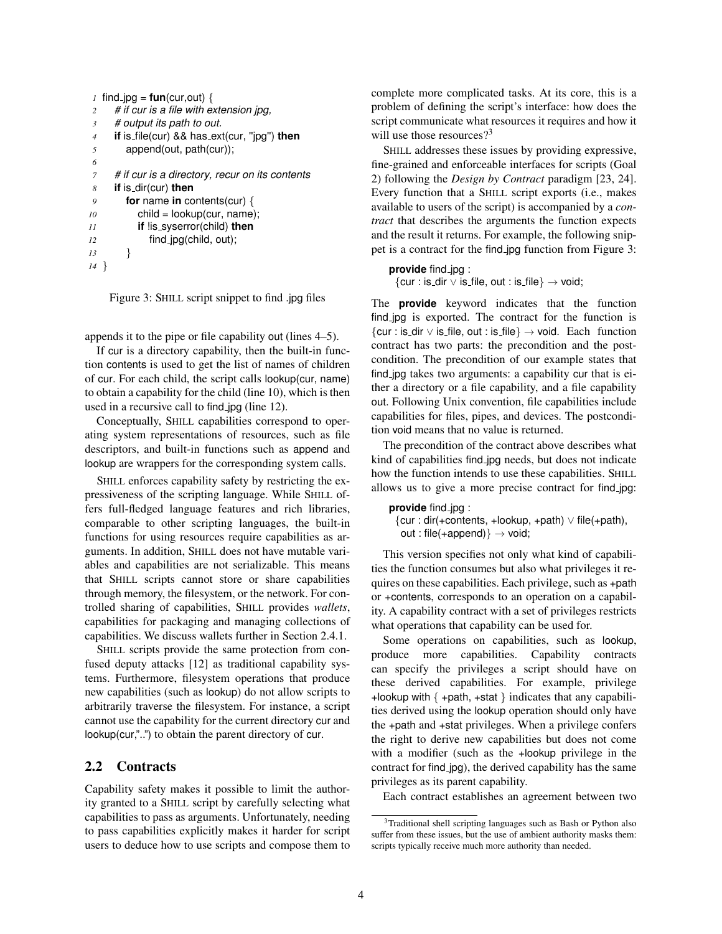```
1 find [pg = fun(cur,out)]2 # if cur is a file with extension jpg,
3 # output its path to out.
4 if is file(cur) && has ext(cur, ''jpg'') then
5 append(out, path(cur));
6
7 # if cur is a directory, recur on its contents
8 if is dir(cur) then
9 for name in contents(cur) {
10 child = lookup(cur, name);
11 if !is syserror(child) then
12 find jpg(child, out);
13 }
14 }
```
Figure 3: SHILL script snippet to find .jpg files

appends it to the pipe or file capability out (lines 4–5).

If cur is a directory capability, then the built-in function contents is used to get the list of names of children of cur. For each child, the script calls lookup(cur, name) to obtain a capability for the child (line 10), which is then used in a recursive call to find jpg (line 12).

Conceptually, SHILL capabilities correspond to operating system representations of resources, such as file descriptors, and built-in functions such as append and lookup are wrappers for the corresponding system calls.

SHILL enforces capability safety by restricting the expressiveness of the scripting language. While SHILL offers full-fledged language features and rich libraries, comparable to other scripting languages, the built-in functions for using resources require capabilities as arguments. In addition, SHILL does not have mutable variables and capabilities are not serializable. This means that SHILL scripts cannot store or share capabilities through memory, the filesystem, or the network. For controlled sharing of capabilities, SHILL provides *wallets*, capabilities for packaging and managing collections of capabilities. We discuss wallets further in Section 2.4.1.

SHILL scripts provide the same protection from confused deputy attacks [12] as traditional capability systems. Furthermore, filesystem operations that produce new capabilities (such as lookup) do not allow scripts to arbitrarily traverse the filesystem. For instance, a script cannot use the capability for the current directory cur and lookup(cur,"..") to obtain the parent directory of cur.

# 2.2 Contracts

Capability safety makes it possible to limit the authority granted to a SHILL script by carefully selecting what capabilities to pass as arguments. Unfortunately, needing to pass capabilities explicitly makes it harder for script users to deduce how to use scripts and compose them to complete more complicated tasks. At its core, this is a problem of defining the script's interface: how does the script communicate what resources it requires and how it will use those resources?<sup>3</sup>

SHILL addresses these issues by providing expressive, fine-grained and enforceable interfaces for scripts (Goal 2) following the *Design by Contract* paradigm [23, 24]. Every function that a SHILL script exports (i.e., makes available to users of the script) is accompanied by a *contract* that describes the arguments the function expects and the result it returns. For example, the following snippet is a contract for the find jpg function from Figure 3:

#### **provide** find jpg :

 $\{cur : is\_dir \vee is\_file, out : is\_file\} \rightarrow void;$ 

The **provide** keyword indicates that the function find jpg is exported. The contract for the function is {cur : is dir ∨ is file, out : is file} → void. Each function contract has two parts: the precondition and the postcondition. The precondition of our example states that find jpg takes two arguments: a capability cur that is either a directory or a file capability, and a file capability out. Following Unix convention, file capabilities include capabilities for files, pipes, and devices. The postcondition void means that no value is returned.

The precondition of the contract above describes what kind of capabilities find jpg needs, but does not indicate how the function intends to use these capabilities. SHILL allows us to give a more precise contract for find jpg:

**provide** find jpg : {cur : dir(+contents, +lookup, +path) ∨ file(+path), out : file(+append)}  $\rightarrow$  void;

This version specifies not only what kind of capabilities the function consumes but also what privileges it requires on these capabilities. Each privilege, such as +path or +contents, corresponds to an operation on a capability. A capability contract with a set of privileges restricts what operations that capability can be used for.

Some operations on capabilities, such as lookup, produce more capabilities. Capability contracts can specify the privileges a script should have on these derived capabilities. For example, privilege +lookup with  $\{ +path, +stat \}$  indicates that any capabilities derived using the lookup operation should only have the +path and +stat privileges. When a privilege confers the right to derive new capabilities but does not come with a modifier (such as the +lookup privilege in the contract for find jpg), the derived capability has the same privileges as its parent capability.

Each contract establishes an agreement between two

<sup>3</sup>Traditional shell scripting languages such as Bash or Python also suffer from these issues, but the use of ambient authority masks them: scripts typically receive much more authority than needed.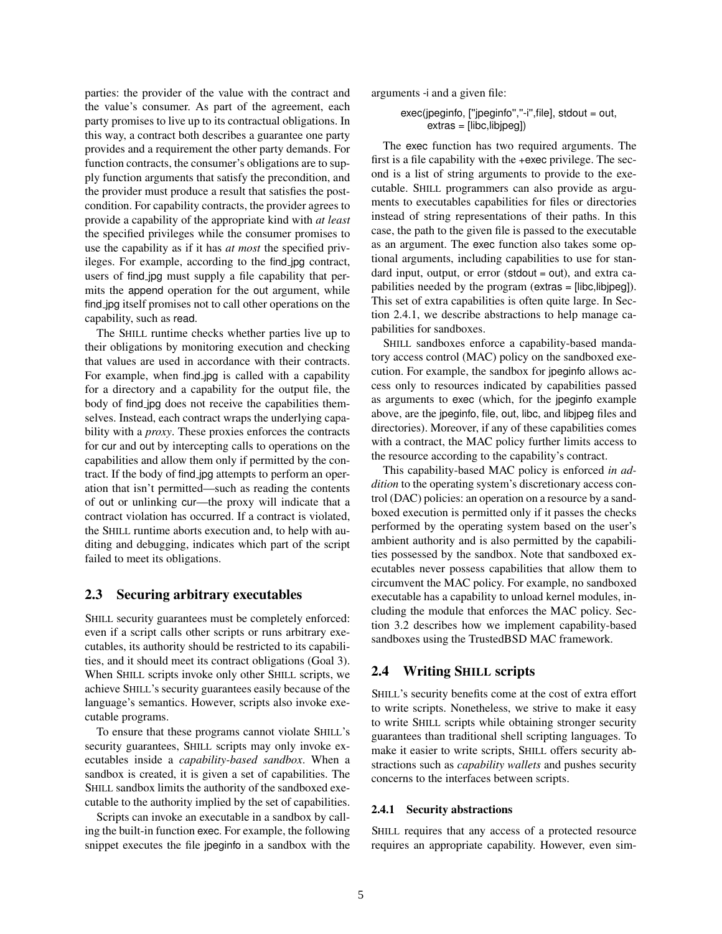parties: the provider of the value with the contract and the value's consumer. As part of the agreement, each party promises to live up to its contractual obligations. In this way, a contract both describes a guarantee one party provides and a requirement the other party demands. For function contracts, the consumer's obligations are to supply function arguments that satisfy the precondition, and the provider must produce a result that satisfies the postcondition. For capability contracts, the provider agrees to provide a capability of the appropriate kind with *at least* the specified privileges while the consumer promises to use the capability as if it has *at most* the specified privileges. For example, according to the find jpg contract, users of find jpg must supply a file capability that permits the append operation for the out argument, while find jpg itself promises not to call other operations on the capability, such as read.

The SHILL runtime checks whether parties live up to their obligations by monitoring execution and checking that values are used in accordance with their contracts. For example, when find jpg is called with a capability for a directory and a capability for the output file, the body of find jpg does not receive the capabilities themselves. Instead, each contract wraps the underlying capability with a *proxy*. These proxies enforces the contracts for cur and out by intercepting calls to operations on the capabilities and allow them only if permitted by the contract. If the body of find jpg attempts to perform an operation that isn't permitted—such as reading the contents of out or unlinking cur—the proxy will indicate that a contract violation has occurred. If a contract is violated, the SHILL runtime aborts execution and, to help with auditing and debugging, indicates which part of the script failed to meet its obligations.

### 2.3 Securing arbitrary executables

SHILL security guarantees must be completely enforced: even if a script calls other scripts or runs arbitrary executables, its authority should be restricted to its capabilities, and it should meet its contract obligations (Goal 3). When SHILL scripts invoke only other SHILL scripts, we achieve SHILL's security guarantees easily because of the language's semantics. However, scripts also invoke executable programs.

To ensure that these programs cannot violate SHILL's security guarantees, SHILL scripts may only invoke executables inside a *capability-based sandbox*. When a sandbox is created, it is given a set of capabilities. The SHILL sandbox limits the authority of the sandboxed executable to the authority implied by the set of capabilities.

Scripts can invoke an executable in a sandbox by calling the built-in function exec. For example, the following snippet executes the file jpeginfo in a sandbox with the arguments -i and a given file:

exec(jpeginfo, [''jpeginfo'',''-i'',file], stdout = out, extras = [libc,libjpeg])

The exec function has two required arguments. The first is a file capability with the +exec privilege. The second is a list of string arguments to provide to the executable. SHILL programmers can also provide as arguments to executables capabilities for files or directories instead of string representations of their paths. In this case, the path to the given file is passed to the executable as an argument. The exec function also takes some optional arguments, including capabilities to use for standard input, output, or error (stdout = out), and extra capabilities needed by the program (extras = [libc,libjpeg]). This set of extra capabilities is often quite large. In Section 2.4.1, we describe abstractions to help manage capabilities for sandboxes.

SHILL sandboxes enforce a capability-based mandatory access control (MAC) policy on the sandboxed execution. For example, the sandbox for jpeginfo allows access only to resources indicated by capabilities passed as arguments to exec (which, for the jpeginfo example above, are the jpeginfo, file, out, libc, and libjpeg files and directories). Moreover, if any of these capabilities comes with a contract, the MAC policy further limits access to the resource according to the capability's contract.

This capability-based MAC policy is enforced *in addition* to the operating system's discretionary access control (DAC) policies: an operation on a resource by a sandboxed execution is permitted only if it passes the checks performed by the operating system based on the user's ambient authority and is also permitted by the capabilities possessed by the sandbox. Note that sandboxed executables never possess capabilities that allow them to circumvent the MAC policy. For example, no sandboxed executable has a capability to unload kernel modules, including the module that enforces the MAC policy. Section 3.2 describes how we implement capability-based sandboxes using the TrustedBSD MAC framework.

### 2.4 Writing SHILL scripts

SHILL's security benefits come at the cost of extra effort to write scripts. Nonetheless, we strive to make it easy to write SHILL scripts while obtaining stronger security guarantees than traditional shell scripting languages. To make it easier to write scripts, SHILL offers security abstractions such as *capability wallets* and pushes security concerns to the interfaces between scripts.

#### 2.4.1 Security abstractions

SHILL requires that any access of a protected resource requires an appropriate capability. However, even sim-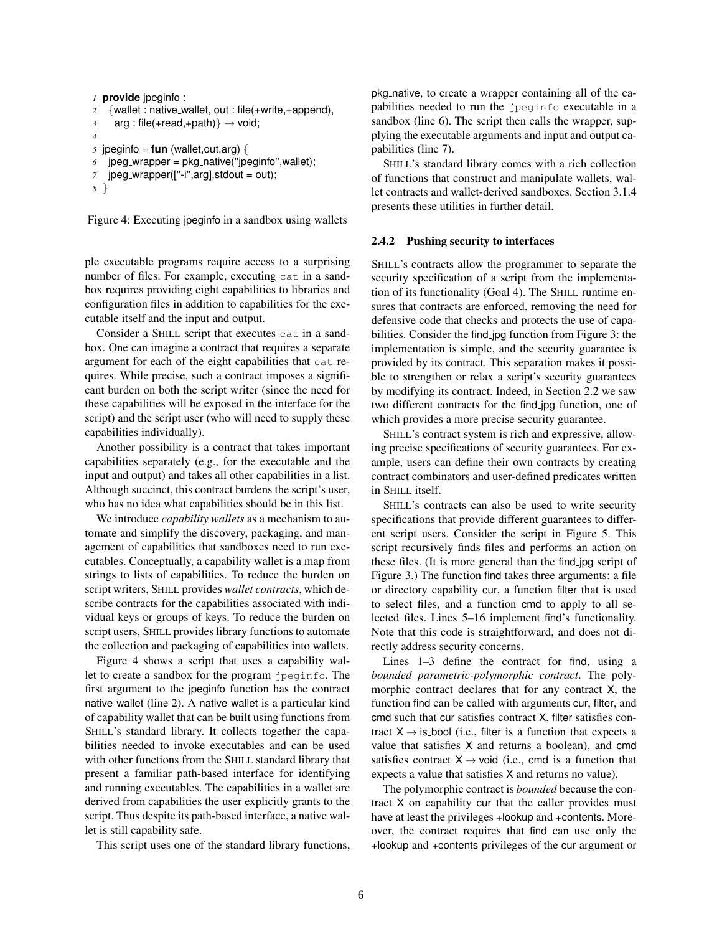```
1 provide jpeginfo :
2 {wallet : native wallet, out : file(+write,+append),
3 arg : file(+read,+path)} \rightarrow void;
4
\sigma jpeginfo = fun (wallet, out, arg) {
6 jpeg_wrapper = pkg_native("jpeginfo", wallet);
7 jpeg_wrapper(["-i",arg],stdout = out);
8 }
```
Figure 4: Executing jpeginfo in a sandbox using wallets

ple executable programs require access to a surprising number of files. For example, executing cat in a sandbox requires providing eight capabilities to libraries and configuration files in addition to capabilities for the executable itself and the input and output.

Consider a SHILL script that executes cat in a sandbox. One can imagine a contract that requires a separate argument for each of the eight capabilities that cat requires. While precise, such a contract imposes a significant burden on both the script writer (since the need for these capabilities will be exposed in the interface for the script) and the script user (who will need to supply these capabilities individually).

Another possibility is a contract that takes important capabilities separately (e.g., for the executable and the input and output) and takes all other capabilities in a list. Although succinct, this contract burdens the script's user, who has no idea what capabilities should be in this list.

We introduce *capability wallets* as a mechanism to automate and simplify the discovery, packaging, and management of capabilities that sandboxes need to run executables. Conceptually, a capability wallet is a map from strings to lists of capabilities. To reduce the burden on script writers, SHILL provides *wallet contracts*, which describe contracts for the capabilities associated with individual keys or groups of keys. To reduce the burden on script users, SHILL provides library functions to automate the collection and packaging of capabilities into wallets.

Figure 4 shows a script that uses a capability wallet to create a sandbox for the program jpeginfo. The first argument to the jpeginfo function has the contract native wallet (line 2). A native wallet is a particular kind of capability wallet that can be built using functions from SHILL's standard library. It collects together the capabilities needed to invoke executables and can be used with other functions from the SHILL standard library that present a familiar path-based interface for identifying and running executables. The capabilities in a wallet are derived from capabilities the user explicitly grants to the script. Thus despite its path-based interface, a native wallet is still capability safe.

This script uses one of the standard library functions,

pkg native, to create a wrapper containing all of the capabilities needed to run the jpeginfo executable in a sandbox (line 6). The script then calls the wrapper, supplying the executable arguments and input and output capabilities (line 7).

SHILL's standard library comes with a rich collection of functions that construct and manipulate wallets, wallet contracts and wallet-derived sandboxes. Section 3.1.4 presents these utilities in further detail.

#### 2.4.2 Pushing security to interfaces

SHILL's contracts allow the programmer to separate the security specification of a script from the implementation of its functionality (Goal 4). The SHILL runtime ensures that contracts are enforced, removing the need for defensive code that checks and protects the use of capabilities. Consider the find jpg function from Figure 3: the implementation is simple, and the security guarantee is provided by its contract. This separation makes it possible to strengthen or relax a script's security guarantees by modifying its contract. Indeed, in Section 2.2 we saw two different contracts for the find jpg function, one of which provides a more precise security guarantee.

SHILL's contract system is rich and expressive, allowing precise specifications of security guarantees. For example, users can define their own contracts by creating contract combinators and user-defined predicates written in SHILL itself.

SHILL's contracts can also be used to write security specifications that provide different guarantees to different script users. Consider the script in Figure 5. This script recursively finds files and performs an action on these files. (It is more general than the find jpg script of Figure 3.) The function find takes three arguments: a file or directory capability cur, a function filter that is used to select files, and a function cmd to apply to all selected files. Lines 5–16 implement find's functionality. Note that this code is straightforward, and does not directly address security concerns.

Lines 1–3 define the contract for find, using a *bounded parametric-polymorphic contract*. The polymorphic contract declares that for any contract X, the function find can be called with arguments cur, filter, and cmd such that cur satisfies contract X, filter satisfies contract  $X \rightarrow$  is bool (i.e., filter is a function that expects a value that satisfies X and returns a boolean), and cmd satisfies contract  $X \rightarrow \text{void}$  (i.e., cmd is a function that expects a value that satisfies X and returns no value).

The polymorphic contract is *bounded* because the contract X on capability cur that the caller provides must have at least the privileges +lookup and +contents. Moreover, the contract requires that find can use only the +lookup and +contents privileges of the cur argument or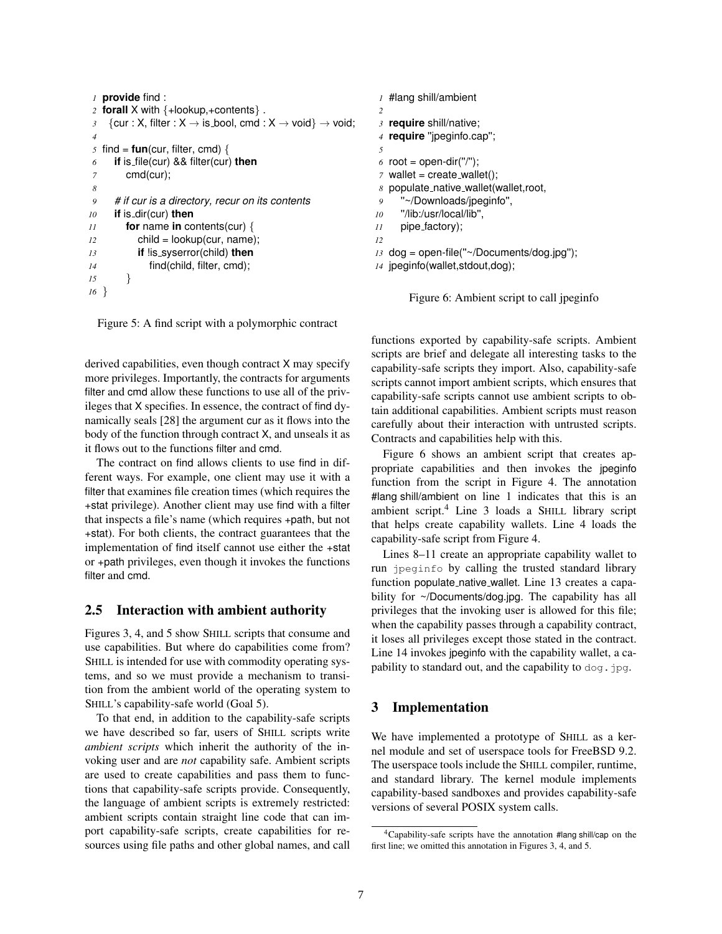```
1 provide find :
2 forall X with {+lookup,+contents} .
3 {cur : X, filter : X \rightarrow is bool, cmd : X \rightarrow void} \rightarrow void;
 4
5 find = fun(cur, filter, cmd) {
6 if is file(cur) && filter(cur) then
7 cmd(cur);
8
9 # if cur is a directory, recur on its contents
10 if is dir(cur) then
11 for name in contents(cur) {
12 child = lookup(cur, name);
13 if !is syserror(child) then
14 find(child, filter, cmd);
15 }
16 }
```
Figure 5: A find script with a polymorphic contract

derived capabilities, even though contract X may specify more privileges. Importantly, the contracts for arguments filter and cmd allow these functions to use all of the privileges that X specifies. In essence, the contract of find dynamically seals [28] the argument cur as it flows into the body of the function through contract X, and unseals it as it flows out to the functions filter and cmd.

The contract on find allows clients to use find in different ways. For example, one client may use it with a filter that examines file creation times (which requires the +stat privilege). Another client may use find with a filter that inspects a file's name (which requires +path, but not +stat). For both clients, the contract guarantees that the implementation of find itself cannot use either the +stat or +path privileges, even though it invokes the functions filter and cmd.

# 2.5 Interaction with ambient authority

Figures 3, 4, and 5 show SHILL scripts that consume and use capabilities. But where do capabilities come from? SHILL is intended for use with commodity operating systems, and so we must provide a mechanism to transition from the ambient world of the operating system to SHILL's capability-safe world (Goal 5).

To that end, in addition to the capability-safe scripts we have described so far, users of SHILL scripts write *ambient scripts* which inherit the authority of the invoking user and are *not* capability safe. Ambient scripts are used to create capabilities and pass them to functions that capability-safe scripts provide. Consequently, the language of ambient scripts is extremely restricted: ambient scripts contain straight line code that can import capability-safe scripts, create capabilities for resources using file paths and other global names, and call

```
1 #lang shill/ambient
 2
3 require shill/native;
 4 require ''jpeginfo.cap'';
 5
6 root = open-dir("/");
 7 wallet = create_wallet();
8 populate native wallet(wallet,root,
 9 ''~/Downloads/jpeginfo'',
10 ''/lib:/usr/local/lib'',
11 pipe factory);
12
13 dog = open-file(''~/Documents/dog.jpg'');
14 jpeginfo(wallet,stdout,dog);
```
Figure 6: Ambient script to call jpeginfo

functions exported by capability-safe scripts. Ambient scripts are brief and delegate all interesting tasks to the capability-safe scripts they import. Also, capability-safe scripts cannot import ambient scripts, which ensures that capability-safe scripts cannot use ambient scripts to obtain additional capabilities. Ambient scripts must reason carefully about their interaction with untrusted scripts. Contracts and capabilities help with this.

Figure 6 shows an ambient script that creates appropriate capabilities and then invokes the jpeginfo function from the script in Figure 4. The annotation #lang shill/ambient on line 1 indicates that this is an ambient script.<sup>4</sup> Line 3 loads a SHILL library script that helps create capability wallets. Line 4 loads the capability-safe script from Figure 4.

Lines 8–11 create an appropriate capability wallet to run jpeginfo by calling the trusted standard library function populate native wallet. Line 13 creates a capability for ~/Documents/dog.jpg. The capability has all privileges that the invoking user is allowed for this file; when the capability passes through a capability contract, it loses all privileges except those stated in the contract. Line 14 invokes jpeginfo with the capability wallet, a capability to standard out, and the capability to  $\text{dog.}$  jpg.

# 3 Implementation

We have implemented a prototype of SHILL as a kernel module and set of userspace tools for FreeBSD 9.2. The userspace tools include the SHILL compiler, runtime, and standard library. The kernel module implements capability-based sandboxes and provides capability-safe versions of several POSIX system calls.

<sup>4</sup>Capability-safe scripts have the annotation #lang shill/cap on the first line; we omitted this annotation in Figures 3, 4, and 5.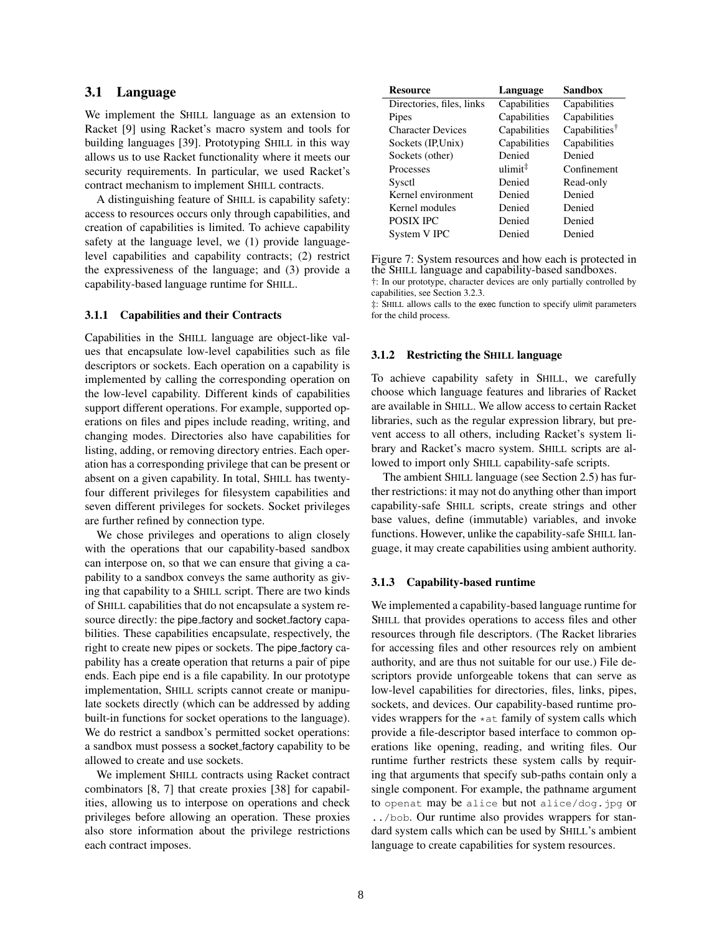### 3.1 Language

We implement the SHILL language as an extension to Racket [9] using Racket's macro system and tools for building languages [39]. Prototyping SHILL in this way allows us to use Racket functionality where it meets our security requirements. In particular, we used Racket's contract mechanism to implement SHILL contracts.

A distinguishing feature of SHILL is capability safety: access to resources occurs only through capabilities, and creation of capabilities is limited. To achieve capability safety at the language level, we (1) provide languagelevel capabilities and capability contracts; (2) restrict the expressiveness of the language; and (3) provide a capability-based language runtime for SHILL.

#### 3.1.1 Capabilities and their Contracts

Capabilities in the SHILL language are object-like values that encapsulate low-level capabilities such as file descriptors or sockets. Each operation on a capability is implemented by calling the corresponding operation on the low-level capability. Different kinds of capabilities support different operations. For example, supported operations on files and pipes include reading, writing, and changing modes. Directories also have capabilities for listing, adding, or removing directory entries. Each operation has a corresponding privilege that can be present or absent on a given capability. In total, SHILL has twentyfour different privileges for filesystem capabilities and seven different privileges for sockets. Socket privileges are further refined by connection type.

We chose privileges and operations to align closely with the operations that our capability-based sandbox can interpose on, so that we can ensure that giving a capability to a sandbox conveys the same authority as giving that capability to a SHILL script. There are two kinds of SHILL capabilities that do not encapsulate a system resource directly: the pipe factory and socket factory capabilities. These capabilities encapsulate, respectively, the right to create new pipes or sockets. The pipe factory capability has a create operation that returns a pair of pipe ends. Each pipe end is a file capability. In our prototype implementation, SHILL scripts cannot create or manipulate sockets directly (which can be addressed by adding built-in functions for socket operations to the language). We do restrict a sandbox's permitted socket operations: a sandbox must possess a socket factory capability to be allowed to create and use sockets.

We implement SHILL contracts using Racket contract combinators [8, 7] that create proxies [38] for capabilities, allowing us to interpose on operations and check privileges before allowing an operation. These proxies also store information about the privilege restrictions each contract imposes.

| <b>Resource</b>           | Language            | <b>Sandbox</b>            |
|---------------------------|---------------------|---------------------------|
| Directories, files, links | Capabilities        | Capabilities              |
| Pipes                     | Capabilities        | Capabilities              |
| <b>Character Devices</b>  | Capabilities        | Capabilities <sup>†</sup> |
| Sockets (IP, Unix)        | Capabilities        | Capabilities              |
| Sockets (other)           | Denied              | Denied                    |
| Processes                 | ulimit <sup>‡</sup> | Confinement               |
| Sysctl                    | Denied              | Read-only                 |
| Kernel environment        | Denied              | Denied                    |
| Kernel modules            | Denied              | Denied                    |
| <b>POSIX IPC</b>          | Denied              | Denied                    |
| System V IPC              | Denied              | Denied                    |

Figure 7: System resources and how each is protected in the SHILL language and capability-based sandboxes. †: In our prototype, character devices are only partially controlled by capabilities, see Section 3.2.3.

‡: SHILL allows calls to the exec function to specify ulimit parameters for the child process.

#### 3.1.2 Restricting the SHILL language

To achieve capability safety in SHILL, we carefully choose which language features and libraries of Racket are available in SHILL. We allow access to certain Racket libraries, such as the regular expression library, but prevent access to all others, including Racket's system library and Racket's macro system. SHILL scripts are allowed to import only SHILL capability-safe scripts.

The ambient SHILL language (see Section 2.5) has further restrictions: it may not do anything other than import capability-safe SHILL scripts, create strings and other base values, define (immutable) variables, and invoke functions. However, unlike the capability-safe SHILL language, it may create capabilities using ambient authority.

#### 3.1.3 Capability-based runtime

We implemented a capability-based language runtime for SHILL that provides operations to access files and other resources through file descriptors. (The Racket libraries for accessing files and other resources rely on ambient authority, and are thus not suitable for our use.) File descriptors provide unforgeable tokens that can serve as low-level capabilities for directories, files, links, pipes, sockets, and devices. Our capability-based runtime provides wrappers for the  $\star$  at family of system calls which provide a file-descriptor based interface to common operations like opening, reading, and writing files. Our runtime further restricts these system calls by requiring that arguments that specify sub-paths contain only a single component. For example, the pathname argument to openat may be alice but not alice/dog.jpg or ../bob. Our runtime also provides wrappers for standard system calls which can be used by SHILL's ambient language to create capabilities for system resources.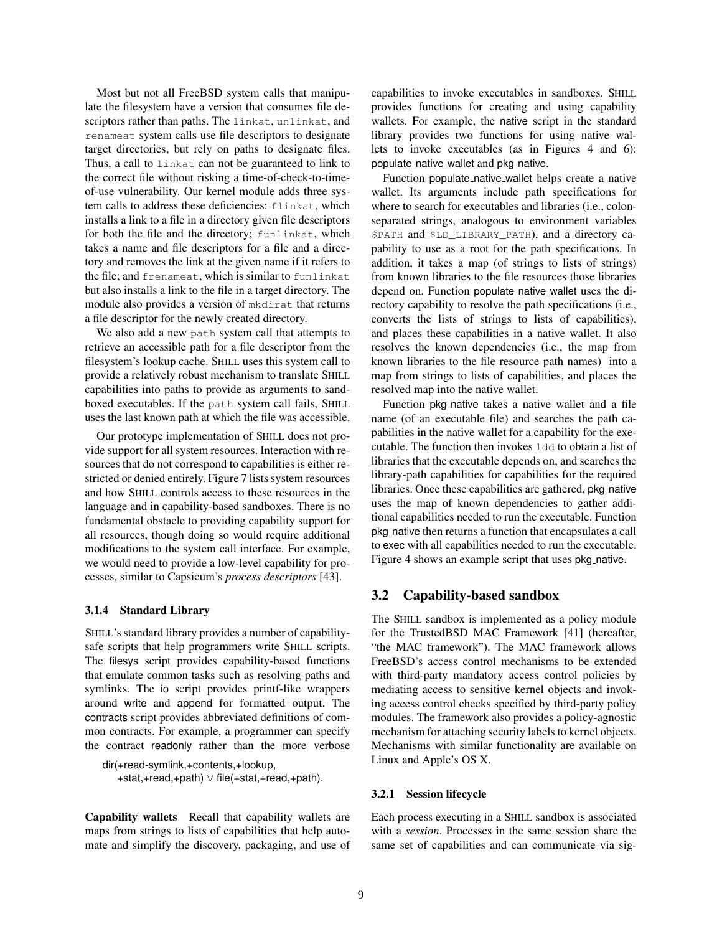Most but not all FreeBSD system calls that manipulate the filesystem have a version that consumes file descriptors rather than paths. The linkat, unlinkat, and renameat system calls use file descriptors to designate target directories, but rely on paths to designate files. Thus, a call to linkat can not be guaranteed to link to the correct file without risking a time-of-check-to-timeof-use vulnerability. Our kernel module adds three system calls to address these deficiencies: flinkat, which installs a link to a file in a directory given file descriptors for both the file and the directory; funlinkat, which takes a name and file descriptors for a file and a directory and removes the link at the given name if it refers to the file; and frenameat, which is similar to funlinkat but also installs a link to the file in a target directory. The module also provides a version of mkdirat that returns a file descriptor for the newly created directory.

We also add a new path system call that attempts to retrieve an accessible path for a file descriptor from the filesystem's lookup cache. SHILL uses this system call to provide a relatively robust mechanism to translate SHILL capabilities into paths to provide as arguments to sandboxed executables. If the path system call fails, SHILL uses the last known path at which the file was accessible.

Our prototype implementation of SHILL does not provide support for all system resources. Interaction with resources that do not correspond to capabilities is either restricted or denied entirely. Figure 7 lists system resources and how SHILL controls access to these resources in the language and in capability-based sandboxes. There is no fundamental obstacle to providing capability support for all resources, though doing so would require additional modifications to the system call interface. For example, we would need to provide a low-level capability for processes, similar to Capsicum's *process descriptors* [43].

#### 3.1.4 Standard Library

SHILL's standard library provides a number of capabilitysafe scripts that help programmers write SHILL scripts. The filesys script provides capability-based functions that emulate common tasks such as resolving paths and symlinks. The io script provides printf-like wrappers around write and append for formatted output. The contracts script provides abbreviated definitions of common contracts. For example, a programmer can specify the contract readonly rather than the more verbose

```
dir(+read-symlink,+contents,+lookup,
   +stat,+read,+path) ∨ file(+stat,+read,+path).
```
Capability wallets Recall that capability wallets are maps from strings to lists of capabilities that help automate and simplify the discovery, packaging, and use of capabilities to invoke executables in sandboxes. SHILL provides functions for creating and using capability wallets. For example, the native script in the standard library provides two functions for using native wallets to invoke executables (as in Figures 4 and 6): populate native wallet and pkg native.

Function populate native wallet helps create a native wallet. Its arguments include path specifications for where to search for executables and libraries (i.e., colonseparated strings, analogous to environment variables \$PATH and \$LD\_LIBRARY\_PATH), and a directory capability to use as a root for the path specifications. In addition, it takes a map (of strings to lists of strings) from known libraries to the file resources those libraries depend on. Function populate native wallet uses the directory capability to resolve the path specifications (i.e., converts the lists of strings to lists of capabilities), and places these capabilities in a native wallet. It also resolves the known dependencies (i.e., the map from known libraries to the file resource path names) into a map from strings to lists of capabilities, and places the resolved map into the native wallet.

Function pkg native takes a native wallet and a file name (of an executable file) and searches the path capabilities in the native wallet for a capability for the executable. The function then invokes ldd to obtain a list of libraries that the executable depends on, and searches the library-path capabilities for capabilities for the required libraries. Once these capabilities are gathered, pkg\_native uses the map of known dependencies to gather additional capabilities needed to run the executable. Function pkg native then returns a function that encapsulates a call to exec with all capabilities needed to run the executable. Figure 4 shows an example script that uses pkg native.

### 3.2 Capability-based sandbox

The SHILL sandbox is implemented as a policy module for the TrustedBSD MAC Framework [41] (hereafter, "the MAC framework"). The MAC framework allows FreeBSD's access control mechanisms to be extended with third-party mandatory access control policies by mediating access to sensitive kernel objects and invoking access control checks specified by third-party policy modules. The framework also provides a policy-agnostic mechanism for attaching security labels to kernel objects. Mechanisms with similar functionality are available on Linux and Apple's OS X.

#### 3.2.1 Session lifecycle

Each process executing in a SHILL sandbox is associated with a *session*. Processes in the same session share the same set of capabilities and can communicate via sig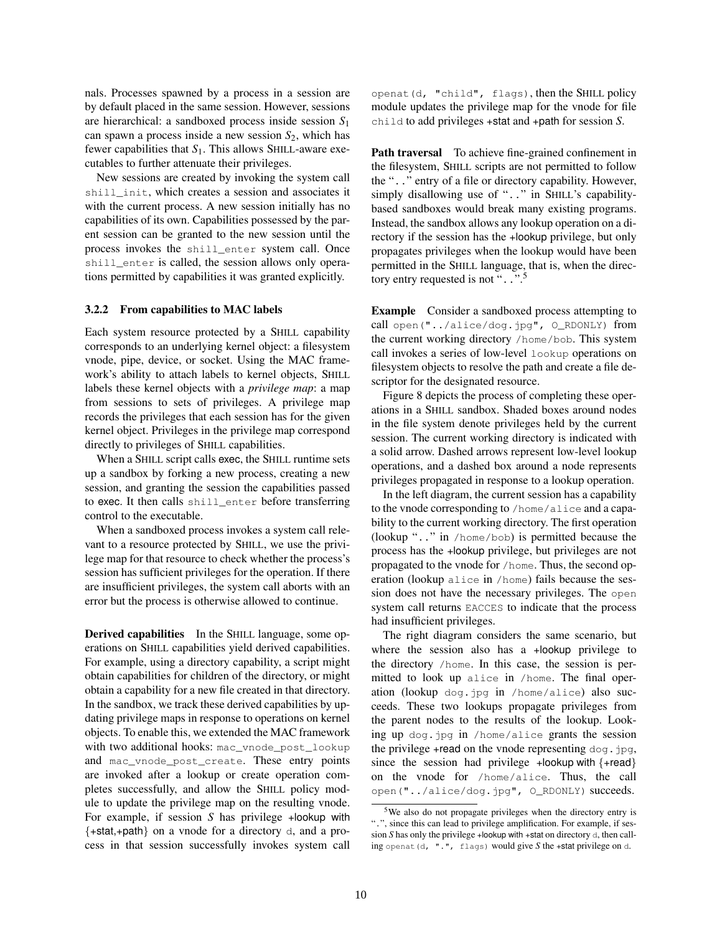nals. Processes spawned by a process in a session are by default placed in the same session. However, sessions are hierarchical: a sandboxed process inside session *S*<sup>1</sup> can spawn a process inside a new session *S*2, which has fewer capabilities that *S*1. This allows SHILL-aware executables to further attenuate their privileges.

New sessions are created by invoking the system call shill\_init, which creates a session and associates it with the current process. A new session initially has no capabilities of its own. Capabilities possessed by the parent session can be granted to the new session until the process invokes the shill\_enter system call. Once shill\_enter is called, the session allows only operations permitted by capabilities it was granted explicitly.

### 3.2.2 From capabilities to MAC labels

Each system resource protected by a SHILL capability corresponds to an underlying kernel object: a filesystem vnode, pipe, device, or socket. Using the MAC framework's ability to attach labels to kernel objects, SHILL labels these kernel objects with a *privilege map*: a map from sessions to sets of privileges. A privilege map records the privileges that each session has for the given kernel object. Privileges in the privilege map correspond directly to privileges of SHILL capabilities.

When a SHILL script calls exec, the SHILL runtime sets up a sandbox by forking a new process, creating a new session, and granting the session the capabilities passed to exec. It then calls shill\_enter before transferring control to the executable.

When a sandboxed process invokes a system call relevant to a resource protected by SHILL, we use the privilege map for that resource to check whether the process's session has sufficient privileges for the operation. If there are insufficient privileges, the system call aborts with an error but the process is otherwise allowed to continue.

Derived capabilities In the SHILL language, some operations on SHILL capabilities yield derived capabilities. For example, using a directory capability, a script might obtain capabilities for children of the directory, or might obtain a capability for a new file created in that directory. In the sandbox, we track these derived capabilities by updating privilege maps in response to operations on kernel objects. To enable this, we extended the MAC framework with two additional hooks: mac\_vnode\_post\_lookup and mac\_vnode\_post\_create. These entry points are invoked after a lookup or create operation completes successfully, and allow the SHILL policy module to update the privilege map on the resulting vnode. For example, if session *S* has privilege +lookup with {+stat,+path} on a vnode for a directory d, and a process in that session successfully invokes system call openat(d, "child", flags), then the SHILL policy module updates the privilege map for the vnode for file child to add privileges +stat and +path for session *S*.

Path traversal To achieve fine-grained confinement in the filesystem, SHILL scripts are not permitted to follow the ".." entry of a file or directory capability. However, simply disallowing use of "..." in SHILL's capabilitybased sandboxes would break many existing programs. Instead, the sandbox allows any lookup operation on a directory if the session has the +lookup privilege, but only propagates privileges when the lookup would have been permitted in the SHILL language, that is, when the directory entry requested is not "...".<sup>5</sup>

Example Consider a sandboxed process attempting to call open("../alice/dog.jpg", O\_RDONLY) from the current working directory /home/bob. This system call invokes a series of low-level lookup operations on filesystem objects to resolve the path and create a file descriptor for the designated resource.

Figure 8 depicts the process of completing these operations in a SHILL sandbox. Shaded boxes around nodes in the file system denote privileges held by the current session. The current working directory is indicated with a solid arrow. Dashed arrows represent low-level lookup operations, and a dashed box around a node represents privileges propagated in response to a lookup operation.

In the left diagram, the current session has a capability to the vnode corresponding to /home/alice and a capability to the current working directory. The first operation (lookup ".." in /home/bob) is permitted because the process has the +lookup privilege, but privileges are not propagated to the vnode for /home. Thus, the second operation (lookup alice in /home) fails because the session does not have the necessary privileges. The open system call returns EACCES to indicate that the process had insufficient privileges.

The right diagram considers the same scenario, but where the session also has a +lookup privilege to the directory /home. In this case, the session is permitted to look up alice in /home. The final operation (lookup dog.jpg in /home/alice) also succeeds. These two lookups propagate privileges from the parent nodes to the results of the lookup. Looking up dog.jpg in /home/alice grants the session the privilege +read on the vnode representing  $\text{dog.}$  jpg, since the session had privilege +lookup with  $\{+{\rm read}\}$ on the vnode for /home/alice. Thus, the call open("../alice/dog.jpg", O\_RDONLY) succeeds.

<sup>5</sup>We also do not propagate privileges when the directory entry is ".", since this can lead to privilege amplification. For example, if session *S* has only the privilege +lookup with +stat on directory d, then calling openat(d, ".", flags) would give *S* the +stat privilege on d.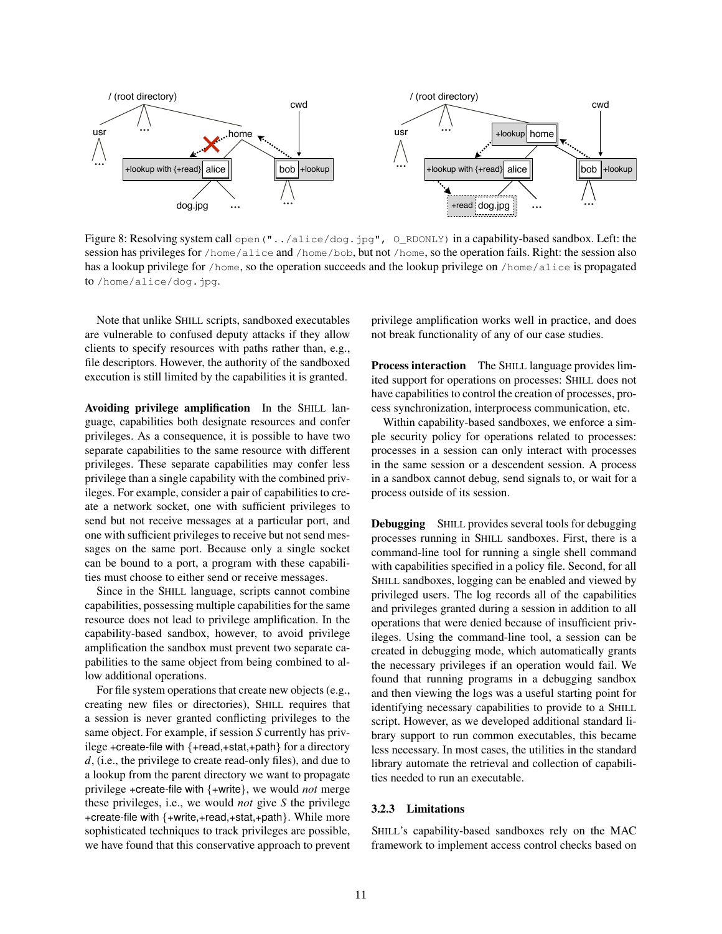

Figure 8: Resolving system call open ("../alice/dog.jpg", O\_RDONLY) in a capability-based sandbox. Left: the session has privileges for /home/alice and /home/bob, but not /home, so the operation fails. Right: the session also has a lookup privilege for /home, so the operation succeeds and the lookup privilege on /home/alice is propagated to /home/alice/dog.jpg.

Note that unlike SHILL scripts, sandboxed executables are vulnerable to confused deputy attacks if they allow clients to specify resources with paths rather than, e.g., file descriptors. However, the authority of the sandboxed execution is still limited by the capabilities it is granted.

Avoiding privilege amplification In the SHILL language, capabilities both designate resources and confer privileges. As a consequence, it is possible to have two separate capabilities to the same resource with different privileges. These separate capabilities may confer less privilege than a single capability with the combined privileges. For example, consider a pair of capabilities to create a network socket, one with sufficient privileges to send but not receive messages at a particular port, and one with sufficient privileges to receive but not send messages on the same port. Because only a single socket can be bound to a port, a program with these capabilities must choose to either send or receive messages.

Since in the SHILL language, scripts cannot combine capabilities, possessing multiple capabilities for the same resource does not lead to privilege amplification. In the capability-based sandbox, however, to avoid privilege amplification the sandbox must prevent two separate capabilities to the same object from being combined to allow additional operations.

For file system operations that create new objects (e.g., creating new files or directories), SHILL requires that a session is never granted conflicting privileges to the same object. For example, if session *S* currently has privilege +create-file with {+read,+stat,+path} for a directory *d*, (i.e., the privilege to create read-only files), and due to a lookup from the parent directory we want to propagate privilege +create-file with {+write}, we would *not* merge these privileges, i.e., we would *not* give *S* the privilege +create-file with {+write,+read,+stat,+path}. While more sophisticated techniques to track privileges are possible, we have found that this conservative approach to prevent privilege amplification works well in practice, and does not break functionality of any of our case studies.

Process interaction The SHILL language provides limited support for operations on processes: SHILL does not have capabilities to control the creation of processes, process synchronization, interprocess communication, etc.

Within capability-based sandboxes, we enforce a simple security policy for operations related to processes: processes in a session can only interact with processes in the same session or a descendent session. A process in a sandbox cannot debug, send signals to, or wait for a process outside of its session.

Debugging SHILL provides several tools for debugging processes running in SHILL sandboxes. First, there is a command-line tool for running a single shell command with capabilities specified in a policy file. Second, for all SHILL sandboxes, logging can be enabled and viewed by privileged users. The log records all of the capabilities and privileges granted during a session in addition to all operations that were denied because of insufficient privileges. Using the command-line tool, a session can be created in debugging mode, which automatically grants the necessary privileges if an operation would fail. We found that running programs in a debugging sandbox and then viewing the logs was a useful starting point for identifying necessary capabilities to provide to a SHILL script. However, as we developed additional standard library support to run common executables, this became less necessary. In most cases, the utilities in the standard library automate the retrieval and collection of capabilities needed to run an executable.

#### 3.2.3 Limitations

SHILL's capability-based sandboxes rely on the MAC framework to implement access control checks based on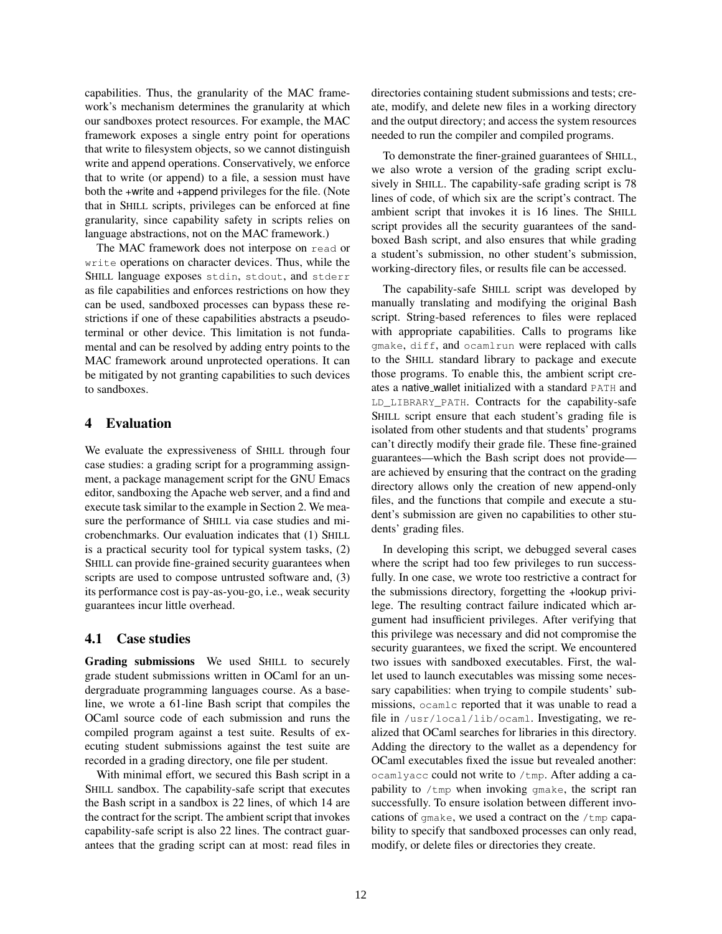capabilities. Thus, the granularity of the MAC framework's mechanism determines the granularity at which our sandboxes protect resources. For example, the MAC framework exposes a single entry point for operations that write to filesystem objects, so we cannot distinguish write and append operations. Conservatively, we enforce that to write (or append) to a file, a session must have both the +write and +append privileges for the file. (Note that in SHILL scripts, privileges can be enforced at fine granularity, since capability safety in scripts relies on language abstractions, not on the MAC framework.)

The MAC framework does not interpose on read or write operations on character devices. Thus, while the SHILL language exposes stdin, stdout, and stderr as file capabilities and enforces restrictions on how they can be used, sandboxed processes can bypass these restrictions if one of these capabilities abstracts a pseudoterminal or other device. This limitation is not fundamental and can be resolved by adding entry points to the MAC framework around unprotected operations. It can be mitigated by not granting capabilities to such devices to sandboxes.

### 4 Evaluation

We evaluate the expressiveness of SHILL through four case studies: a grading script for a programming assignment, a package management script for the GNU Emacs editor, sandboxing the Apache web server, and a find and execute task similar to the example in Section 2. We measure the performance of SHILL via case studies and microbenchmarks. Our evaluation indicates that (1) SHILL is a practical security tool for typical system tasks, (2) SHILL can provide fine-grained security guarantees when scripts are used to compose untrusted software and, (3) its performance cost is pay-as-you-go, i.e., weak security guarantees incur little overhead.

# 4.1 Case studies

Grading submissions We used SHILL to securely grade student submissions written in OCaml for an undergraduate programming languages course. As a baseline, we wrote a 61-line Bash script that compiles the OCaml source code of each submission and runs the compiled program against a test suite. Results of executing student submissions against the test suite are recorded in a grading directory, one file per student.

With minimal effort, we secured this Bash script in a SHILL sandbox. The capability-safe script that executes the Bash script in a sandbox is 22 lines, of which 14 are the contract for the script. The ambient script that invokes capability-safe script is also 22 lines. The contract guarantees that the grading script can at most: read files in directories containing student submissions and tests; create, modify, and delete new files in a working directory and the output directory; and access the system resources needed to run the compiler and compiled programs.

To demonstrate the finer-grained guarantees of SHILL, we also wrote a version of the grading script exclusively in SHILL. The capability-safe grading script is 78 lines of code, of which six are the script's contract. The ambient script that invokes it is 16 lines. The SHILL script provides all the security guarantees of the sandboxed Bash script, and also ensures that while grading a student's submission, no other student's submission, working-directory files, or results file can be accessed.

The capability-safe SHILL script was developed by manually translating and modifying the original Bash script. String-based references to files were replaced with appropriate capabilities. Calls to programs like gmake, diff, and ocamlrun were replaced with calls to the SHILL standard library to package and execute those programs. To enable this, the ambient script creates a native wallet initialized with a standard PATH and LD\_LIBRARY\_PATH. Contracts for the capability-safe SHILL script ensure that each student's grading file is isolated from other students and that students' programs can't directly modify their grade file. These fine-grained guarantees—which the Bash script does not provide are achieved by ensuring that the contract on the grading directory allows only the creation of new append-only files, and the functions that compile and execute a student's submission are given no capabilities to other students' grading files.

In developing this script, we debugged several cases where the script had too few privileges to run successfully. In one case, we wrote too restrictive a contract for the submissions directory, forgetting the +lookup privilege. The resulting contract failure indicated which argument had insufficient privileges. After verifying that this privilege was necessary and did not compromise the security guarantees, we fixed the script. We encountered two issues with sandboxed executables. First, the wallet used to launch executables was missing some necessary capabilities: when trying to compile students' submissions, ocamlc reported that it was unable to read a file in /usr/local/lib/ocaml. Investigating, we realized that OCaml searches for libraries in this directory. Adding the directory to the wallet as a dependency for OCaml executables fixed the issue but revealed another: ocamlyacc could not write to /tmp. After adding a capability to  $/\text{tmp}$  when invoking gmake, the script ran successfully. To ensure isolation between different invocations of gmake, we used a contract on the /tmp capability to specify that sandboxed processes can only read, modify, or delete files or directories they create.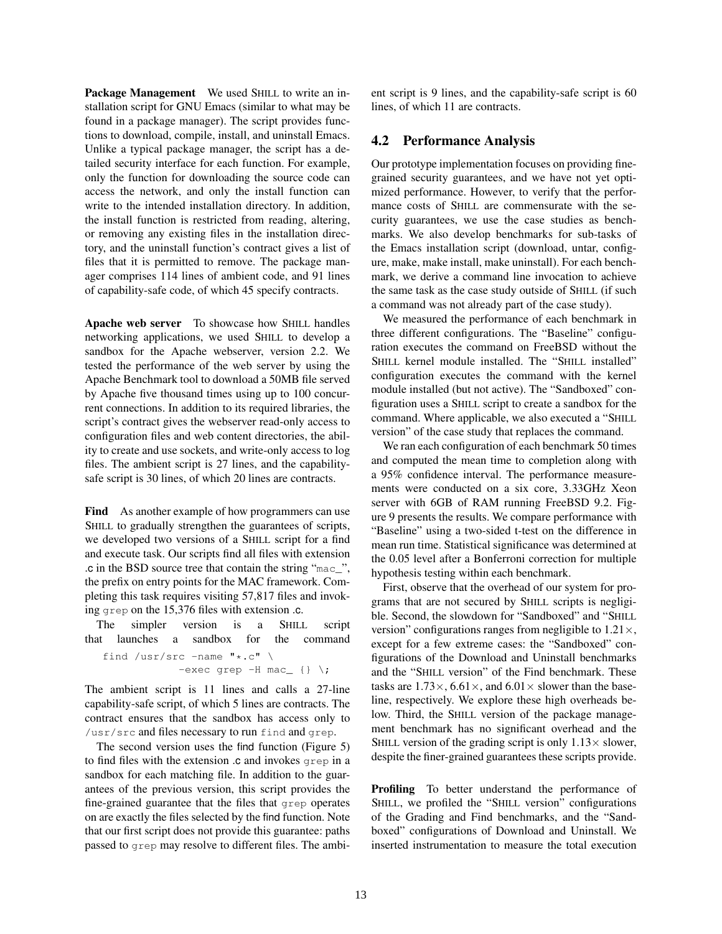Package Management We used SHILL to write an installation script for GNU Emacs (similar to what may be found in a package manager). The script provides functions to download, compile, install, and uninstall Emacs. Unlike a typical package manager, the script has a detailed security interface for each function. For example, only the function for downloading the source code can access the network, and only the install function can write to the intended installation directory. In addition, the install function is restricted from reading, altering, or removing any existing files in the installation directory, and the uninstall function's contract gives a list of files that it is permitted to remove. The package manager comprises 114 lines of ambient code, and 91 lines of capability-safe code, of which 45 specify contracts.

Apache web server To showcase how SHILL handles networking applications, we used SHILL to develop a sandbox for the Apache webserver, version 2.2. We tested the performance of the web server by using the Apache Benchmark tool to download a 50MB file served by Apache five thousand times using up to 100 concurrent connections. In addition to its required libraries, the script's contract gives the webserver read-only access to configuration files and web content directories, the ability to create and use sockets, and write-only access to log files. The ambient script is 27 lines, and the capabilitysafe script is 30 lines, of which 20 lines are contracts.

Find As another example of how programmers can use SHILL to gradually strengthen the guarantees of scripts, we developed two versions of a SHILL script for a find and execute task. Our scripts find all files with extension .c in the BSD source tree that contain the string "mac\_", the prefix on entry points for the MAC framework. Completing this task requires visiting 57,817 files and invoking grep on the 15,376 files with extension .c.

The simpler version is a SHILL script that launches a sandbox for the command

find /usr/src -name  $"\star.c"$  \ -exec grep  $-H$  mac\_ {} \;

The ambient script is 11 lines and calls a 27-line capability-safe script, of which 5 lines are contracts. The contract ensures that the sandbox has access only to /usr/src and files necessary to run find and grep.

The second version uses the find function (Figure 5) to find files with the extension .c and invokes grep in a sandbox for each matching file. In addition to the guarantees of the previous version, this script provides the fine-grained guarantee that the files that grep operates on are exactly the files selected by the find function. Note that our first script does not provide this guarantee: paths passed to grep may resolve to different files. The ambient script is 9 lines, and the capability-safe script is 60 lines, of which 11 are contracts.

# 4.2 Performance Analysis

Our prototype implementation focuses on providing finegrained security guarantees, and we have not yet optimized performance. However, to verify that the performance costs of SHILL are commensurate with the security guarantees, we use the case studies as benchmarks. We also develop benchmarks for sub-tasks of the Emacs installation script (download, untar, configure, make, make install, make uninstall). For each benchmark, we derive a command line invocation to achieve the same task as the case study outside of SHILL (if such a command was not already part of the case study).

We measured the performance of each benchmark in three different configurations. The "Baseline" configuration executes the command on FreeBSD without the SHILL kernel module installed. The "SHILL installed" configuration executes the command with the kernel module installed (but not active). The "Sandboxed" configuration uses a SHILL script to create a sandbox for the command. Where applicable, we also executed a "SHILL version" of the case study that replaces the command.

We ran each configuration of each benchmark 50 times and computed the mean time to completion along with a 95% confidence interval. The performance measurements were conducted on a six core, 3.33GHz Xeon server with 6GB of RAM running FreeBSD 9.2. Figure 9 presents the results. We compare performance with "Baseline" using a two-sided t-test on the difference in mean run time. Statistical significance was determined at the 0.05 level after a Bonferroni correction for multiple hypothesis testing within each benchmark.

First, observe that the overhead of our system for programs that are not secured by SHILL scripts is negligible. Second, the slowdown for "Sandboxed" and "SHILL version" configurations ranges from negligible to  $1.21 \times$ , except for a few extreme cases: the "Sandboxed" configurations of the Download and Uninstall benchmarks and the "SHILL version" of the Find benchmark. These tasks are  $1.73 \times$ ,  $6.61 \times$ , and  $6.01 \times$  slower than the baseline, respectively. We explore these high overheads below. Third, the SHILL version of the package management benchmark has no significant overhead and the SHILL version of the grading script is only  $1.13 \times$  slower, despite the finer-grained guarantees these scripts provide.

Profiling To better understand the performance of SHILL, we profiled the "SHILL version" configurations of the Grading and Find benchmarks, and the "Sandboxed" configurations of Download and Uninstall. We inserted instrumentation to measure the total execution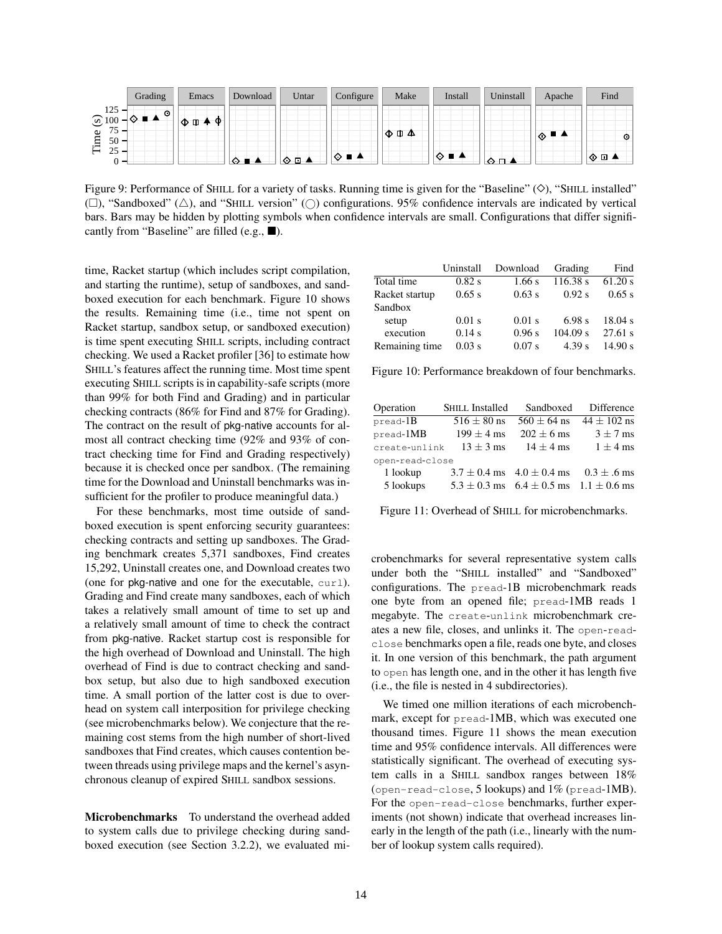|                                      | Grading        | Emacs | Download | Untar | Configure      | Make | <b>Install</b> | Uninstall | Apache | Find    |
|--------------------------------------|----------------|-------|----------|-------|----------------|------|----------------|-----------|--------|---------|
| 125<br>$\odot$ 100                   | $\odot$<br>ᄿ∎▴ | - Ф   |          |       |                |      |                |           |        |         |
| $75 -$<br>$\bullet$<br>Fim<br>$50 -$ |                |       |          |       |                |      |                |           | ▏◈▝▘   | ⊙       |
| 25<br>ر ے<br>∩                       | -              |       | . .      | ᢙᄗᅀ   | <b>14</b><br>♦ |      | ▏◇ ■ ▲         | Đ.        |        | ∣ ⊙ ⊡ ⊿ |

Figure 9: Performance of SHILL for a variety of tasks. Running time is given for the "Baseline"  $(\diamondsuit)$ , "SHILL installed"  $(\Box)$ , "Sandboxed"  $(\triangle)$ , and "SHILL version"  $(\bigcirc)$  configurations. 95% confidence intervals are indicated by vertical bars. Bars may be hidden by plotting symbols when confidence intervals are small. Configurations that differ significantly from "Baseline" are filled (e.g.,  $\blacksquare$ ).

time, Racket startup (which includes script compilation, and starting the runtime), setup of sandboxes, and sandboxed execution for each benchmark. Figure 10 shows the results. Remaining time (i.e., time not spent on Racket startup, sandbox setup, or sandboxed execution) is time spent executing SHILL scripts, including contract checking. We used a Racket profiler [36] to estimate how SHILL's features affect the running time. Most time spent executing SHILL scripts is in capability-safe scripts (more than 99% for both Find and Grading) and in particular checking contracts (86% for Find and 87% for Grading). The contract on the result of pkg-native accounts for almost all contract checking time (92% and 93% of contract checking time for Find and Grading respectively) because it is checked once per sandbox. (The remaining time for the Download and Uninstall benchmarks was insufficient for the profiler to produce meaningful data.)

For these benchmarks, most time outside of sandboxed execution is spent enforcing security guarantees: checking contracts and setting up sandboxes. The Grading benchmark creates 5,371 sandboxes, Find creates 15,292, Uninstall creates one, and Download creates two (one for pkg-native and one for the executable, curl). Grading and Find create many sandboxes, each of which takes a relatively small amount of time to set up and a relatively small amount of time to check the contract from pkg-native. Racket startup cost is responsible for the high overhead of Download and Uninstall. The high overhead of Find is due to contract checking and sandbox setup, but also due to high sandboxed execution time. A small portion of the latter cost is due to overhead on system call interposition for privilege checking (see microbenchmarks below). We conjecture that the remaining cost stems from the high number of short-lived sandboxes that Find creates, which causes contention between threads using privilege maps and the kernel's asynchronous cleanup of expired SHILL sandbox sessions.

Microbenchmarks To understand the overhead added to system calls due to privilege checking during sandboxed execution (see Section 3.2.2), we evaluated mi-

|                | Uninstall | Download | Grading  | Find    |
|----------------|-----------|----------|----------|---------|
| Total time     | $0.82$ s  | $1.66$ s | 116.38 s | 61.20 s |
| Racket startup | 0.65 s    | 0.63 s   | 0.92 s   | 0.65 s  |
| Sandbox        |           |          |          |         |
| setup          | $0.01$ s  | $0.01$ s | 6.98 s   | 18.04 s |
| execution      | 0.14 s    | 0.96 s   | 104.09 s | 27.61 s |
| Remaining time | $0.03$ s  | $0.07$ s | 4.39 s   | 14.90 s |

Figure 10: Performance breakdown of four benchmarks.

| Operation       | <b>SHILL Installed</b> | Sandboxed                                          | Difference      |  |  |  |
|-----------------|------------------------|----------------------------------------------------|-----------------|--|--|--|
| $pread-B$       | $516 \pm 80$ ns        | $560 \pm 64$ ns                                    | $44 \pm 102$ ns |  |  |  |
| pread-1MB       | $199 \pm 4$ ms         | $202 \pm 6$ ms                                     | $3 \pm 7$ ms    |  |  |  |
| create-unlink   | $13 \pm 3$ ms          | $14 \pm 4$ ms                                      | $1 \pm 4$ ms    |  |  |  |
| open-read-close |                        |                                                    |                 |  |  |  |
| 1 lookup        |                        | $3.7 \pm 0.4$ ms $4.0 \pm 0.4$ ms                  | $0.3 \pm .6$ ms |  |  |  |
| 5 lookups       |                        | $5.3 \pm 0.3$ ms $6.4 \pm 0.5$ ms $1.1 \pm 0.6$ ms |                 |  |  |  |

Figure 11: Overhead of SHILL for microbenchmarks.

crobenchmarks for several representative system calls under both the "SHILL installed" and "Sandboxed" configurations. The pread-1B microbenchmark reads one byte from an opened file; pread-1MB reads 1 megabyte. The create-unlink microbenchmark creates a new file, closes, and unlinks it. The open-readclose benchmarks open a file, reads one byte, and closes it. In one version of this benchmark, the path argument to open has length one, and in the other it has length five (i.e., the file is nested in 4 subdirectories).

We timed one million iterations of each microbenchmark, except for pread-1MB, which was executed one thousand times. Figure 11 shows the mean execution time and 95% confidence intervals. All differences were statistically significant. The overhead of executing system calls in a SHILL sandbox ranges between 18% (open-read-close, 5 lookups) and 1% (pread-1MB). For the open-read-close benchmarks, further experiments (not shown) indicate that overhead increases linearly in the length of the path (i.e., linearly with the number of lookup system calls required).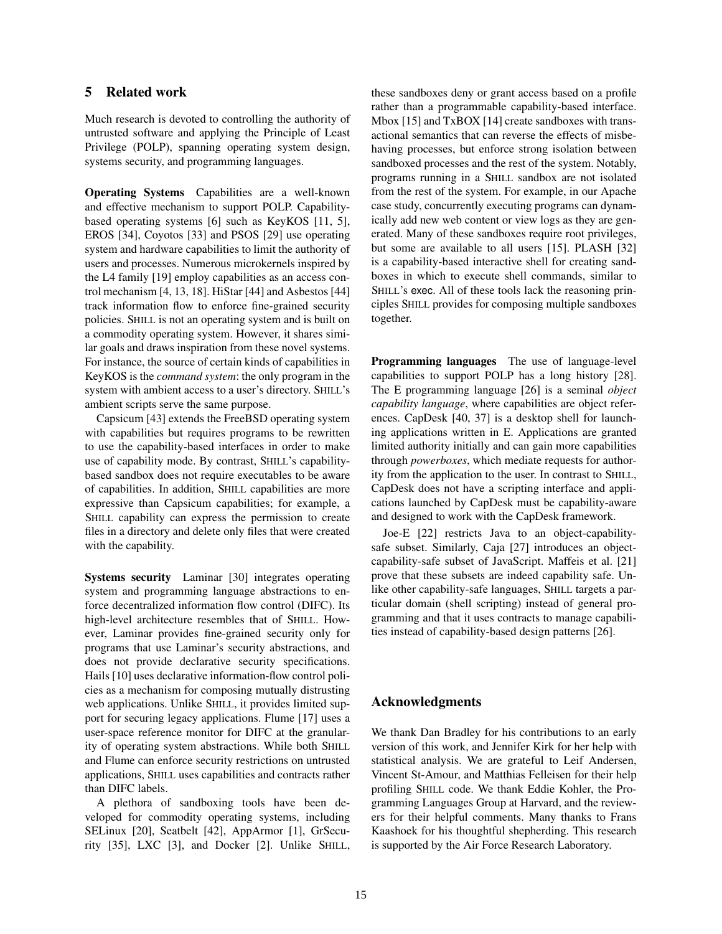# 5 Related work

Much research is devoted to controlling the authority of untrusted software and applying the Principle of Least Privilege (POLP), spanning operating system design, systems security, and programming languages.

Operating Systems Capabilities are a well-known and effective mechanism to support POLP. Capabilitybased operating systems [6] such as KeyKOS [11, 5], EROS [34], Coyotos [33] and PSOS [29] use operating system and hardware capabilities to limit the authority of users and processes. Numerous microkernels inspired by the L4 family [19] employ capabilities as an access control mechanism [4, 13, 18]. HiStar [44] and Asbestos [44] track information flow to enforce fine-grained security policies. SHILL is not an operating system and is built on a commodity operating system. However, it shares similar goals and draws inspiration from these novel systems. For instance, the source of certain kinds of capabilities in KeyKOS is the *command system*: the only program in the system with ambient access to a user's directory. SHILL's ambient scripts serve the same purpose.

Capsicum [43] extends the FreeBSD operating system with capabilities but requires programs to be rewritten to use the capability-based interfaces in order to make use of capability mode. By contrast, SHILL's capabilitybased sandbox does not require executables to be aware of capabilities. In addition, SHILL capabilities are more expressive than Capsicum capabilities; for example, a SHILL capability can express the permission to create files in a directory and delete only files that were created with the capability.

Systems security Laminar [30] integrates operating system and programming language abstractions to enforce decentralized information flow control (DIFC). Its high-level architecture resembles that of SHILL. However, Laminar provides fine-grained security only for programs that use Laminar's security abstractions, and does not provide declarative security specifications. Hails [10] uses declarative information-flow control policies as a mechanism for composing mutually distrusting web applications. Unlike SHILL, it provides limited support for securing legacy applications. Flume [17] uses a user-space reference monitor for DIFC at the granularity of operating system abstractions. While both SHILL and Flume can enforce security restrictions on untrusted applications, SHILL uses capabilities and contracts rather than DIFC labels.

A plethora of sandboxing tools have been developed for commodity operating systems, including SELinux [20], Seatbelt [42], AppArmor [1], GrSecurity [35], LXC [3], and Docker [2]. Unlike SHILL, these sandboxes deny or grant access based on a profile rather than a programmable capability-based interface. Mbox [15] and TxBOX [14] create sandboxes with transactional semantics that can reverse the effects of misbehaving processes, but enforce strong isolation between sandboxed processes and the rest of the system. Notably, programs running in a SHILL sandbox are not isolated from the rest of the system. For example, in our Apache case study, concurrently executing programs can dynamically add new web content or view logs as they are generated. Many of these sandboxes require root privileges, but some are available to all users [15]. PLASH [32] is a capability-based interactive shell for creating sandboxes in which to execute shell commands, similar to SHILL's exec. All of these tools lack the reasoning principles SHILL provides for composing multiple sandboxes together.

Programming languages The use of language-level capabilities to support POLP has a long history [28]. The E programming language [26] is a seminal *object capability language*, where capabilities are object references. CapDesk [40, 37] is a desktop shell for launching applications written in E. Applications are granted limited authority initially and can gain more capabilities through *powerboxes*, which mediate requests for authority from the application to the user. In contrast to SHILL, CapDesk does not have a scripting interface and applications launched by CapDesk must be capability-aware and designed to work with the CapDesk framework.

Joe-E [22] restricts Java to an object-capabilitysafe subset. Similarly, Caja [27] introduces an objectcapability-safe subset of JavaScript. Maffeis et al. [21] prove that these subsets are indeed capability safe. Unlike other capability-safe languages, SHILL targets a particular domain (shell scripting) instead of general programming and that it uses contracts to manage capabilities instead of capability-based design patterns [26].

# Acknowledgments

We thank Dan Bradley for his contributions to an early version of this work, and Jennifer Kirk for her help with statistical analysis. We are grateful to Leif Andersen, Vincent St-Amour, and Matthias Felleisen for their help profiling SHILL code. We thank Eddie Kohler, the Programming Languages Group at Harvard, and the reviewers for their helpful comments. Many thanks to Frans Kaashoek for his thoughtful shepherding. This research is supported by the Air Force Research Laboratory.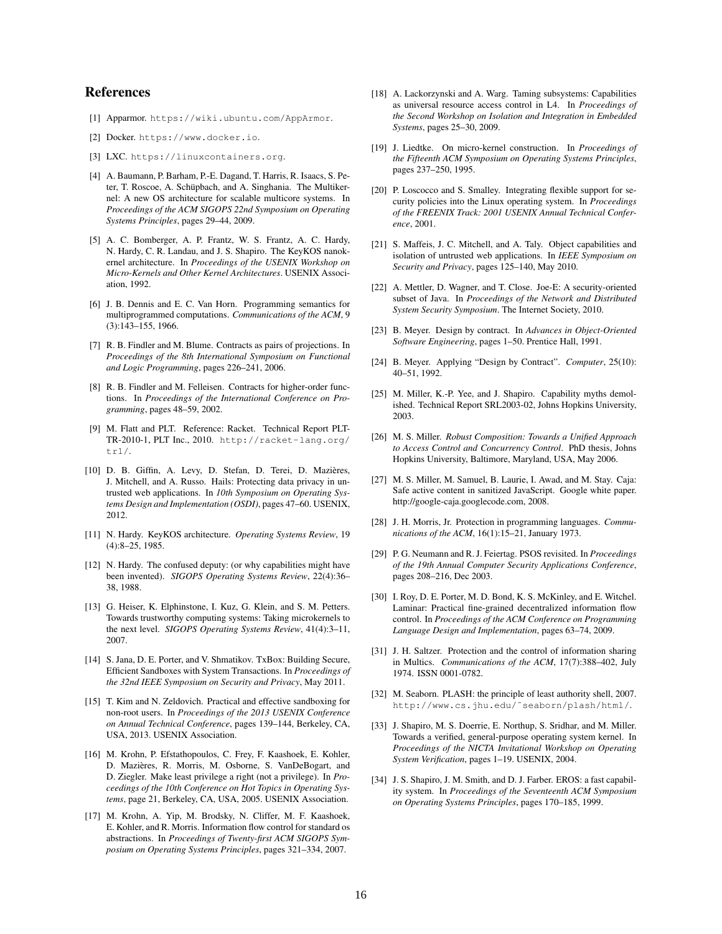# References

- [1] Apparmor. https://wiki.ubuntu.com/AppArmor.
- [2] Docker. https://www.docker.io.
- [3] LXC. https://linuxcontainers.org.
- [4] A. Baumann, P. Barham, P.-E. Dagand, T. Harris, R. Isaacs, S. Peter, T. Roscoe, A. Schüpbach, and A. Singhania. The Multikernel: A new OS architecture for scalable multicore systems. In *Proceedings of the ACM SIGOPS 22nd Symposium on Operating Systems Principles*, pages 29–44, 2009.
- [5] A. C. Bomberger, A. P. Frantz, W. S. Frantz, A. C. Hardy, N. Hardy, C. R. Landau, and J. S. Shapiro. The KeyKOS nanokernel architecture. In *Proceedings of the USENIX Workshop on Micro-Kernels and Other Kernel Architectures*. USENIX Association, 1992.
- [6] J. B. Dennis and E. C. Van Horn. Programming semantics for multiprogrammed computations. *Communications of the ACM*, 9 (3):143–155, 1966.
- [7] R. B. Findler and M. Blume. Contracts as pairs of projections. In *Proceedings of the 8th International Symposium on Functional and Logic Programming*, pages 226–241, 2006.
- [8] R. B. Findler and M. Felleisen. Contracts for higher-order functions. In *Proceedings of the International Conference on Programming*, pages 48–59, 2002.
- [9] M. Flatt and PLT. Reference: Racket. Technical Report PLT-TR-2010-1, PLT Inc., 2010. http://racket-lang.org/ tr1/.
- [10] D. B. Giffin, A. Levy, D. Stefan, D. Terei, D. Mazieres, ` J. Mitchell, and A. Russo. Hails: Protecting data privacy in untrusted web applications. In *10th Symposium on Operating Systems Design and Implementation (OSDI)*, pages 47–60. USENIX, 2012.
- [11] N. Hardy. KeyKOS architecture. *Operating Systems Review*, 19 (4):8–25, 1985.
- [12] N. Hardy. The confused deputy: (or why capabilities might have been invented). *SIGOPS Operating Systems Review*, 22(4):36– 38, 1988.
- [13] G. Heiser, K. Elphinstone, I. Kuz, G. Klein, and S. M. Petters. Towards trustworthy computing systems: Taking microkernels to the next level. *SIGOPS Operating Systems Review*, 41(4):3–11, 2007.
- [14] S. Jana, D. E. Porter, and V. Shmatikov. TxBox: Building Secure, Efficient Sandboxes with System Transactions. In *Proceedings of the 32nd IEEE Symposium on Security and Privacy*, May 2011.
- [15] T. Kim and N. Zeldovich. Practical and effective sandboxing for non-root users. In *Proceedings of the 2013 USENIX Conference on Annual Technical Conference*, pages 139–144, Berkeley, CA, USA, 2013. USENIX Association.
- [16] M. Krohn, P. Efstathopoulos, C. Frey, F. Kaashoek, E. Kohler, D. Mazieres, R. Morris, M. Osborne, S. VanDeBogart, and ` D. Ziegler. Make least privilege a right (not a privilege). In *Proceedings of the 10th Conference on Hot Topics in Operating Systems*, page 21, Berkeley, CA, USA, 2005. USENIX Association.
- [17] M. Krohn, A. Yip, M. Brodsky, N. Cliffer, M. F. Kaashoek, E. Kohler, and R. Morris. Information flow control for standard os abstractions. In *Proceedings of Twenty-first ACM SIGOPS Symposium on Operating Systems Principles*, pages 321–334, 2007.
- [18] A. Lackorzynski and A. Warg. Taming subsystems: Capabilities as universal resource access control in L4. In *Proceedings of the Second Workshop on Isolation and Integration in Embedded Systems*, pages 25–30, 2009.
- [19] J. Liedtke. On micro-kernel construction. In *Proceedings of the Fifteenth ACM Symposium on Operating Systems Principles*, pages 237–250, 1995.
- [20] P. Loscocco and S. Smalley. Integrating flexible support for security policies into the Linux operating system. In *Proceedings of the FREENIX Track: 2001 USENIX Annual Technical Conference*, 2001.
- [21] S. Maffeis, J. C. Mitchell, and A. Taly. Object capabilities and isolation of untrusted web applications. In *IEEE Symposium on Security and Privacy*, pages 125–140, May 2010.
- [22] A. Mettler, D. Wagner, and T. Close. Joe-E: A security-oriented subset of Java. In *Proceedings of the Network and Distributed System Security Symposium*. The Internet Society, 2010.
- [23] B. Meyer. Design by contract. In *Advances in Object-Oriented Software Engineering*, pages 1–50. Prentice Hall, 1991.
- [24] B. Meyer. Applying "Design by Contract". *Computer*, 25(10): 40–51, 1992.
- [25] M. Miller, K.-P. Yee, and J. Shapiro. Capability myths demolished. Technical Report SRL2003-02, Johns Hopkins University, 2003.
- [26] M. S. Miller. *Robust Composition: Towards a Unified Approach to Access Control and Concurrency Control*. PhD thesis, Johns Hopkins University, Baltimore, Maryland, USA, May 2006.
- [27] M. S. Miller, M. Samuel, B. Laurie, I. Awad, and M. Stay. Caja: Safe active content in sanitized JavaScript. Google white paper. http://google-caja.googlecode.com, 2008.
- [28] J. H. Morris, Jr. Protection in programming languages. *Communications of the ACM*, 16(1):15–21, January 1973.
- [29] P. G. Neumann and R. J. Feiertag. PSOS revisited. In *Proceedings of the 19th Annual Computer Security Applications Conference*, pages 208–216, Dec 2003.
- [30] I. Roy, D. E. Porter, M. D. Bond, K. S. McKinley, and E. Witchel. Laminar: Practical fine-grained decentralized information flow control. In *Proceedings of the ACM Conference on Programming Language Design and Implementation*, pages 63–74, 2009.
- [31] J. H. Saltzer. Protection and the control of information sharing in Multics. *Communications of the ACM*, 17(7):388–402, July 1974. ISSN 0001-0782.
- [32] M. Seaborn. PLASH: the principle of least authority shell, 2007. http://www.cs.jhu.edu/˜seaborn/plash/html/.
- [33] J. Shapiro, M. S. Doerrie, E. Northup, S. Sridhar, and M. Miller. Towards a verified, general-purpose operating system kernel. In *Proceedings of the NICTA Invitational Workshop on Operating System Verification*, pages 1–19. USENIX, 2004.
- [34] J. S. Shapiro, J. M. Smith, and D. J. Farber. EROS: a fast capability system. In *Proceedings of the Seventeenth ACM Symposium on Operating Systems Principles*, pages 170–185, 1999.